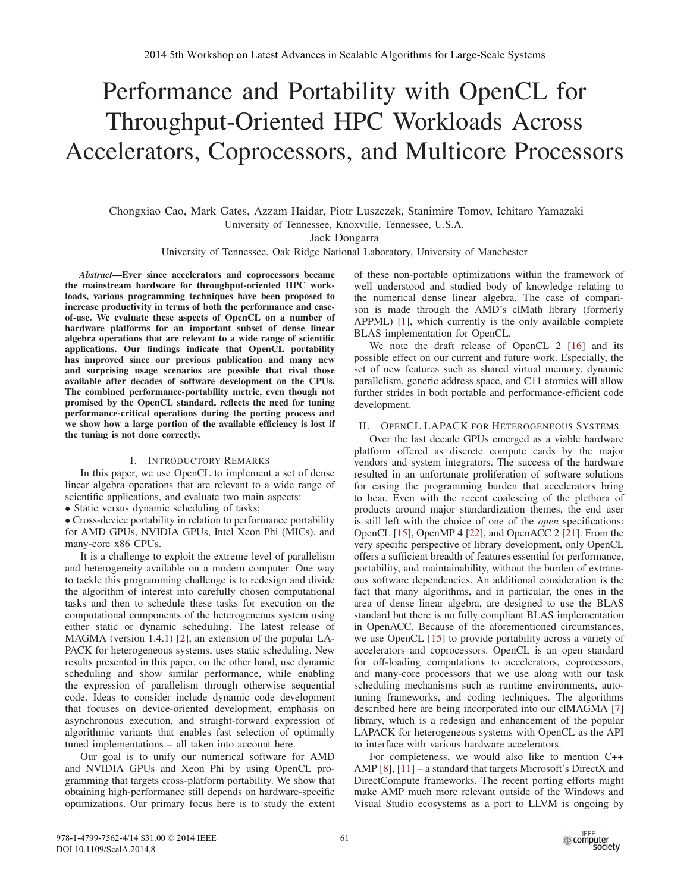# Performance and Portability with OpenCL for Throughput-Oriented HPC Workloads Across Accelerators, Coprocessors, and Multicore Processors

Chongxiao Cao, Mark Gates, Azzam Haidar, Piotr Luszczek, Stanimire Tomov, Ichitaro Yamazaki University of Tennessee, Knoxville, Tennessee, U.S.A.

Jack Dongarra

University of Tennessee, Oak Ridge National Laboratory, University of Manchester

*Abstract*—Ever since accelerators and coprocessors became the mainstream hardware for throughput-oriented HPC workloads, various programming techniques have been proposed to increase productivity in terms of both the performance and easeof-use. We evaluate these aspects of OpenCL on a number of hardware platforms for an important subset of dense linear algebra operations that are relevant to a wide range of scientific applications. Our findings indicate that OpenCL portability has improved since our previous publication and many new and surprising usage scenarios are possible that rival those available after decades of software development on the CPUs. The combined performance-portability metric, even though not promised by the OpenCL standard, reflects the need for tuning performance-critical operations during the porting process and we show how a large portion of the available efficiency is lost if the tuning is not done correctly.

#### I. INTRODUCTORY REMARKS

In this paper, we use OpenCL to implement a set of dense linear algebra operations that are relevant to a wide range of scientific applications, and evaluate two main aspects:

• Static versus dynamic scheduling of tasks;

• Cross-device portability in relation to performance portability for AMD GPUs, NVIDIA GPUs, Intel Xeon Phi (MICs), and many-core x86 CPUs.

It is a challenge to exploit the extreme level of parallelism and heterogeneity available on a modern computer. One way to tackle this programming challenge is to redesign and divide the algorithm of interest into carefully chosen computational tasks and then to schedule these tasks for execution on the computational components of the heterogeneous system using either static or dynamic scheduling. The latest release of MAGMA (version 1.4.1) [2], an extension of the popular LA-PACK for heterogeneous systems, uses static scheduling. New results presented in this paper, on the other hand, use dynamic scheduling and show similar performance, while enabling the expression of parallelism through otherwise sequential code. Ideas to consider include dynamic code development that focuses on device-oriented development, emphasis on asynchronous execution, and straight-forward expression of algorithmic variants that enables fast selection of optimally tuned implementations – all taken into account here.

Our goal is to unify our numerical software for AMD and NVIDIA GPUs and Xeon Phi by using OpenCL programming that targets cross-platform portability. We show that obtaining high-performance still depends on hardware-specific optimizations. Our primary focus here is to study the extent

of these non-portable optimizations within the framework of well understood and studied body of knowledge relating to the numerical dense linear algebra. The case of comparison is made through the AMD's clMath library (formerly APPML) [1], which currently is the only available complete BLAS implementation for OpenCL.

We note the draft release of OpenCL 2 [16] and its possible effect on our current and future work. Especially, the set of new features such as shared virtual memory, dynamic parallelism, generic address space, and C11 atomics will allow further strides in both portable and performance-efficient code development.

## II. OPENCL LAPACK FOR HETEROGENEOUS SYSTEMS

Over the last decade GPUs emerged as a viable hardware platform offered as discrete compute cards by the major vendors and system integrators. The success of the hardware resulted in an unfortunate proliferation of software solutions for easing the programming burden that accelerators bring to bear. Even with the recent coalescing of the plethora of products around major standardization themes, the end user is still left with the choice of one of the *open* specifications: OpenCL [15], OpenMP 4 [22], and OpenACC 2 [21]. From the very specific perspective of library development, only OpenCL offers a sufficient breadth of features essential for performance, portability, and maintainability, without the burden of extraneous software dependencies. An additional consideration is the fact that many algorithms, and in particular, the ones in the area of dense linear algebra, are designed to use the BLAS standard but there is no fully compliant BLAS implementation in OpenACC. Because of the aforementioned circumstances, we use OpenCL [15] to provide portability across a variety of accelerators and coprocessors. OpenCL is an open standard for off-loading computations to accelerators, coprocessors, and many-core processors that we use along with our task scheduling mechanisms such as runtime environments, autotuning frameworks, and coding techniques. The algorithms described here are being incorporated into our clMAGMA [7] library, which is a redesign and enhancement of the popular LAPACK for heterogeneous systems with OpenCL as the API to interface with various hardware accelerators.

For completeness, we would also like to mention C++ AMP [8], [11] – a standard that targets Microsoft's DirectX and DirectCompute frameworks. The recent porting efforts might make AMP much more relevant outside of the Windows and Visual Studio ecosystems as a port to LLVM is ongoing by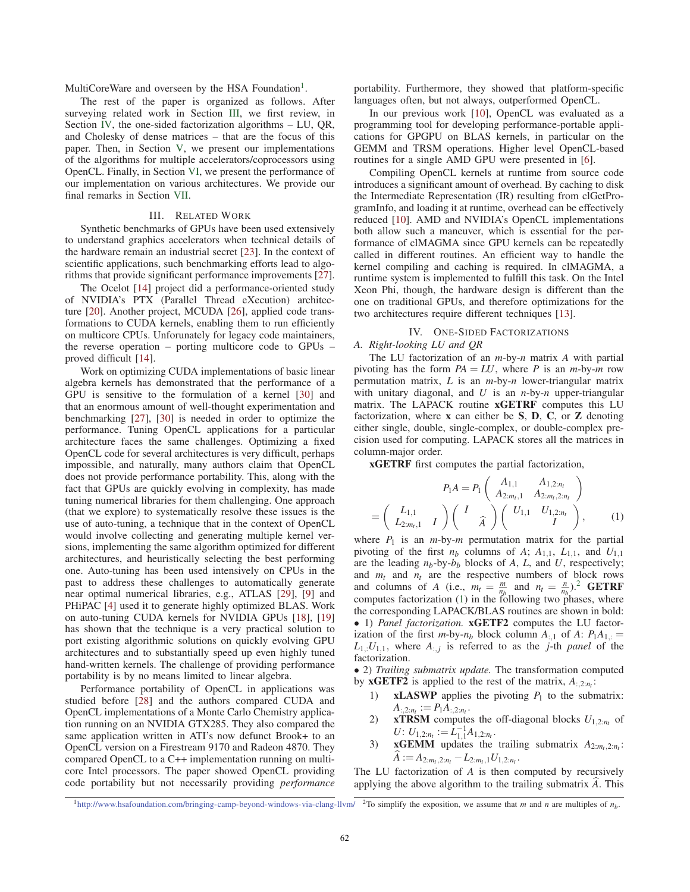MultiCoreWare and overseen by the HSA Foundation<sup>1</sup>.

The rest of the paper is organized as follows. After surveying related work in Section III, we first review, in Section IV, the one-sided factorization algorithms – LU, QR, and Cholesky of dense matrices – that are the focus of this paper. Then, in Section V, we present our implementations of the algorithms for multiple accelerators/coprocessors using OpenCL. Finally, in Section VI, we present the performance of our implementation on various architectures. We provide our final remarks in Section VII.

## III. RELATED WORK

Synthetic benchmarks of GPUs have been used extensively to understand graphics accelerators when technical details of the hardware remain an industrial secret [23]. In the context of scientific applications, such benchmarking efforts lead to algorithms that provide significant performance improvements [27].

The Ocelot [14] project did a performance-oriented study of NVIDIA's PTX (Parallel Thread eXecution) architecture [20]. Another project, MCUDA [26], applied code transformations to CUDA kernels, enabling them to run efficiently on multicore CPUs. Unforunately for legacy code maintainers, the reverse operation – porting multicore code to GPUs – proved difficult [14].

Work on optimizing CUDA implementations of basic linear algebra kernels has demonstrated that the performance of a GPU is sensitive to the formulation of a kernel [30] and that an enormous amount of well-thought experimentation and benchmarking [27], [30] is needed in order to optimize the performance. Tuning OpenCL applications for a particular architecture faces the same challenges. Optimizing a fixed OpenCL code for several architectures is very difficult, perhaps impossible, and naturally, many authors claim that OpenCL does not provide performance portability. This, along with the fact that GPUs are quickly evolving in complexity, has made tuning numerical libraries for them challenging. One approach (that we explore) to systematically resolve these issues is the use of auto-tuning, a technique that in the context of OpenCL would involve collecting and generating multiple kernel versions, implementing the same algorithm optimized for different architectures, and heuristically selecting the best performing one. Auto-tuning has been used intensively on CPUs in the past to address these challenges to automatically generate near optimal numerical libraries, e.g., ATLAS [29], [9] and PHiPAC [4] used it to generate highly optimized BLAS. Work on auto-tuning CUDA kernels for NVIDIA GPUs [18], [19] has shown that the technique is a very practical solution to port existing algorithmic solutions on quickly evolving GPU architectures and to substantially speed up even highly tuned hand-written kernels. The challenge of providing performance portability is by no means limited to linear algebra.

Performance portability of OpenCL in applications was studied before [28] and the authors compared CUDA and OpenCL implementations of a Monte Carlo Chemistry application running on an NVIDIA GTX285. They also compared the same application written in ATI's now defunct Brook+ to an OpenCL version on a Firestream 9170 and Radeon 4870. They compared OpenCL to a C++ implementation running on multicore Intel processors. The paper showed OpenCL providing code portability but not necessarily providing *performance* portability. Furthermore, they showed that platform-specific languages often, but not always, outperformed OpenCL.

In our previous work [10], OpenCL was evaluated as a programming tool for developing performance-portable applications for GPGPU on BLAS kernels, in particular on the GEMM and TRSM operations. Higher level OpenCL-based routines for a single AMD GPU were presented in [6].

Compiling OpenCL kernels at runtime from source code introduces a significant amount of overhead. By caching to disk the Intermediate Representation (IR) resulting from clGetProgramInfo, and loading it at runtime, overhead can be effectively reduced [10]. AMD and NVIDIA's OpenCL implementations both allow such a maneuver, which is essential for the performance of clMAGMA since GPU kernels can be repeatedly called in different routines. An efficient way to handle the kernel compiling and caching is required. In clMAGMA, a runtime system is implemented to fulfill this task. On the Intel Xeon Phi, though, the hardware design is different than the one on traditional GPUs, and therefore optimizations for the two architectures require different techniques [13].

#### IV. ONE-SIDED FACTORIZATIONS

## *A. Right-looking LU and QR*

The LU factorization of an *m*-by-*n* matrix *A* with partial pivoting has the form  $PA = LU$ , where *P* is an *m*-by-*m* row permutation matrix, *L* is an *m*-by-*n* lower-triangular matrix with unitary diagonal, and *U* is an *n*-by-*n* upper-triangular matrix. The LAPACK routine xGETRF computes this LU factorization, where  $x$  can either be  $S$ ,  $D$ ,  $C$ , or  $Z$  denoting either single, double, single-complex, or double-complex precision used for computing. LAPACK stores all the matrices in column-major order.

xGETRF first computes the partial factorization,

$$
P_1 A = P_1 \begin{pmatrix} A_{1,1} & A_{1,2:n_t} \\ A_{2:m_t,1} & A_{2:m_t,2:n_t} \end{pmatrix}
$$
  
= 
$$
\begin{pmatrix} L_{1,1} & \\ L_{2:m_t,1} & I \end{pmatrix} \begin{pmatrix} I & \\ & \widehat{A} \end{pmatrix} \begin{pmatrix} U_{1,1} & U_{1,2:n_t} \\ & I \end{pmatrix},
$$
 (1)

where  $P_1$  is an  $m$ -by- $m$  permutation matrix for the partial pivoting of the first  $n_b$  columns of  $A$ ;  $A_{1,1}$ ,  $L_{1,1}$ , and  $U_{1,1}$ are the leading *nb*-by-*bb* blocks of *A*, *L*, and *U*, respectively; and  $m_t$  and  $n_t$  are the respective numbers of block rows and columns of *A* (i.e.,  $m_t = \frac{m}{n_b}$  and  $n_t = \frac{n}{n_b}$ ).<sup>2</sup> GETRF computes factorization (1) in the following two phases, where the corresponding LAPACK/BLAS routines are shown in bold: • 1) *Panel factorization.* xGETF2 computes the LU factorization of the first *m*-by- $n_b$  block column  $A_{1,1}$  of  $A: P_1A_{1,1} =$  $L_{1,:}U_{1,1}$ , where  $A_{:,j}$  is referred to as the *j*-th *panel* of the factorization.

• 2) *Trailing submatrix update.* The transformation computed by **xGETF2** is applied to the rest of the matrix,  $A_{2:n}$ :

- 1) **xLASWP** applies the pivoting  $P_1$  to the submatrix:  $A_{:,2:n_t} := P_1 A_{:,2:n_t}$ .
- 2) **xTRSM** computes the off-diagonal blocks  $U_{1,2:n_t}$  of  $U: U_{1,2:n_t} := L_{1,1}^{-1}A_{1,2:n_t}.$
- 3) **xGEMM** updates the trailing submatrix  $A_{2:m_t,2:n_t}$ :  $A := A_{2:m_t,2:n_t} - L_{2:m_t,1}U_{1,2:n_t}.$

The LU factorization of *A* is then computed by recursively applying the above algorithm to the trailing submatrix *A*. This

<sup>&</sup>lt;sup>1</sup>http://www.hsafoundation.com/bringing-camp-beyond-windows-via-clang-llvm/ $^{2}$ To simplify the exposition, we assume that *m* and *n* are multiples of  $n<sub>b</sub>$ .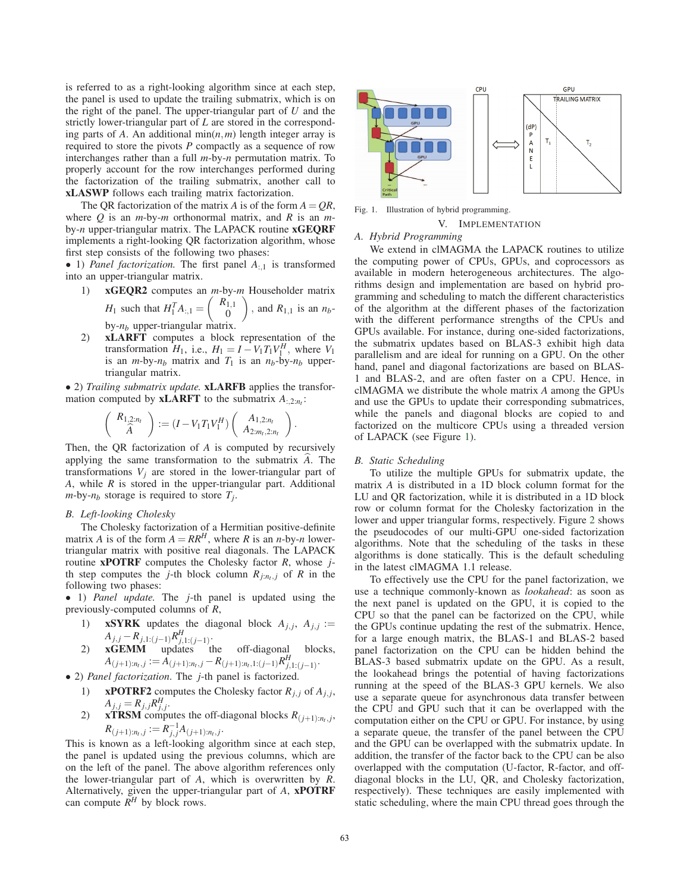is referred to as a right-looking algorithm since at each step, the panel is used to update the trailing submatrix, which is on the right of the panel. The upper-triangular part of *U* and the strictly lower-triangular part of *L* are stored in the corresponding parts of *A*. An additional min(*n*,*m*) length integer array is required to store the pivots *P* compactly as a sequence of row interchanges rather than a full *m*-by-*n* permutation matrix. To properly account for the row interchanges performed during the factorization of the trailing submatrix, another call to xLASWP follows each trailing matrix factorization.

The QR factorization of the matrix *A* is of the form  $A = QR$ , where *Q* is an *m*-by-*m* orthonormal matrix, and *R* is an *m*by-*n* upper-triangular matrix. The LAPACK routine xGEQRF implements a right-looking QR factorization algorithm, whose first step consists of the following two phases:

• 1) *Panel factorization.* The first panel *A*:,<sup>1</sup> is transformed into an upper-triangular matrix.

- 1) xGEQR2 computes an *m*-by-*m* Householder matrix *H*<sub>1</sub> such that  $H_1^T A_{:,1} =$  $(R_{1,1})$  $\boldsymbol{0}$  $\overline{\phantom{0}}$ , and  $R_{1,1}$  is an  $n_b$ by-*nb* upper-triangular matrix.
- 2) xLARFT computes a block representation of the transformation  $H_1$ , i.e.,  $H_1 = I - V_1 T_1 V_1^H$ , where  $V_1$ is an *m*-by- $n_b$  matrix and  $T_1$  is an  $n_b$ -by- $n_b$  uppertriangular matrix.

• 2) *Trailing submatrix update.* xLARFB applies the transformation computed by **xLARFT** to the submatrix  $A_{:2:n}$ .

$$
\left(\begin{array}{c} R_{1,2:n_l} \\ \widehat{A} \end{array}\right) := (I - V_1 T_1 V_1^H) \left(\begin{array}{c} A_{1,2:n_l} \\ A_{2:m_l,2:n_l} \end{array}\right)
$$

.

Then, the QR factorization of *A* is computed by recursively applying the same transformation to the submatrix *A*. The transformations  $V_i$  are stored in the lower-triangular part of *A*, while *R* is stored in the upper-triangular part. Additional  $m$ -by- $n_b$  storage is required to store  $T_i$ .

#### *B. Left-looking Cholesky*

The Cholesky factorization of a Hermitian positive-definite matrix *A* is of the form  $A = RR^H$ , where *R* is an *n*-by-*n* lowertriangular matrix with positive real diagonals. The LAPACK routine xPOTRF computes the Cholesky factor *R*, whose *j*th step computes the *j*-th block column  $R_{j:n_t,j}$  of  $R$  in the following two phases:

• 1) *Panel update.* The *j*-th panel is updated using the previously-computed columns of *R*,

- 1) **xSYRK** updates the diagonal block  $A_{j,j}$ ,  $A_{j,j}$  :=  $A_{j,j} - R_{j,1:(j-1)} R_{j,1:(j-1)}^H$ .
- 2) xGEMM updates the off-diagonal blocks,  $A_{(j+1):n_t,j} := \hat{A}_{(j+1):n_t,j} - R_{(j+1):n_t,1:(j-1)}R_{j,1:(j-1)}^H.$
- 2) *Panel factorization*. The *j*-th panel is factorized.
	- 1) **xPOTRF2** computes the Cholesky factor  $R_{i,j}$  of  $A_{j,j}$ ,  $A_{j,j} = R_{j,j} R_{j,j}^H.$
	- 2) **xTRSM** computes the off-diagonal blocks  $R_{(j+1):n_t,j}$ ,  $R_{(j+1):n_t,j} := R_{j,j}^{-1}A_{(j+1):n_t,j}.$

This is known as a left-looking algorithm since at each step, the panel is updated using the previous columns, which are on the left of the panel. The above algorithm references only the lower-triangular part of *A*, which is overwritten by *R*. Alternatively, given the upper-triangular part of *A*, xPOTRF can compute  $R^H$  by block rows.



Fig. 1. Illustration of hybrid programming.

V. IMPLEMENTATION

## *A. Hybrid Programming*

We extend in clMAGMA the LAPACK routines to utilize the computing power of CPUs, GPUs, and coprocessors as available in modern heterogeneous architectures. The algorithms design and implementation are based on hybrid programming and scheduling to match the different characteristics of the algorithm at the different phases of the factorization with the different performance strengths of the CPUs and GPUs available. For instance, during one-sided factorizations, the submatrix updates based on BLAS-3 exhibit high data parallelism and are ideal for running on a GPU. On the other hand, panel and diagonal factorizations are based on BLAS-1 and BLAS-2, and are often faster on a CPU. Hence, in clMAGMA we distribute the whole matrix *A* among the GPUs and use the GPUs to update their corresponding submatrices, while the panels and diagonal blocks are copied to and factorized on the multicore CPUs using a threaded version of LAPACK (see Figure 1).

#### *B. Static Scheduling*

To utilize the multiple GPUs for submatrix update, the matrix *A* is distributed in a 1D block column format for the LU and QR factorization, while it is distributed in a 1D block row or column format for the Cholesky factorization in the lower and upper triangular forms, respectively. Figure 2 shows the pseudocodes of our multi-GPU one-sided factorization algorithms. Note that the scheduling of the tasks in these algorithms is done statically. This is the default scheduling in the latest clMAGMA 1.1 release.

To effectively use the CPU for the panel factorization, we use a technique commonly-known as *lookahead*: as soon as the next panel is updated on the GPU, it is copied to the CPU so that the panel can be factorized on the CPU, while the GPUs continue updating the rest of the submatrix. Hence, for a large enough matrix, the BLAS-1 and BLAS-2 based panel factorization on the CPU can be hidden behind the BLAS-3 based submatrix update on the GPU. As a result, the lookahead brings the potential of having factorizations running at the speed of the BLAS-3 GPU kernels. We also use a separate queue for asynchronous data transfer between the CPU and GPU such that it can be overlapped with the computation either on the CPU or GPU. For instance, by using a separate queue, the transfer of the panel between the CPU and the GPU can be overlapped with the submatrix update. In addition, the transfer of the factor back to the CPU can be also overlapped with the computation (U-factor, R-factor, and offdiagonal blocks in the LU, QR, and Cholesky factorization, respectively). These techniques are easily implemented with static scheduling, where the main CPU thread goes through the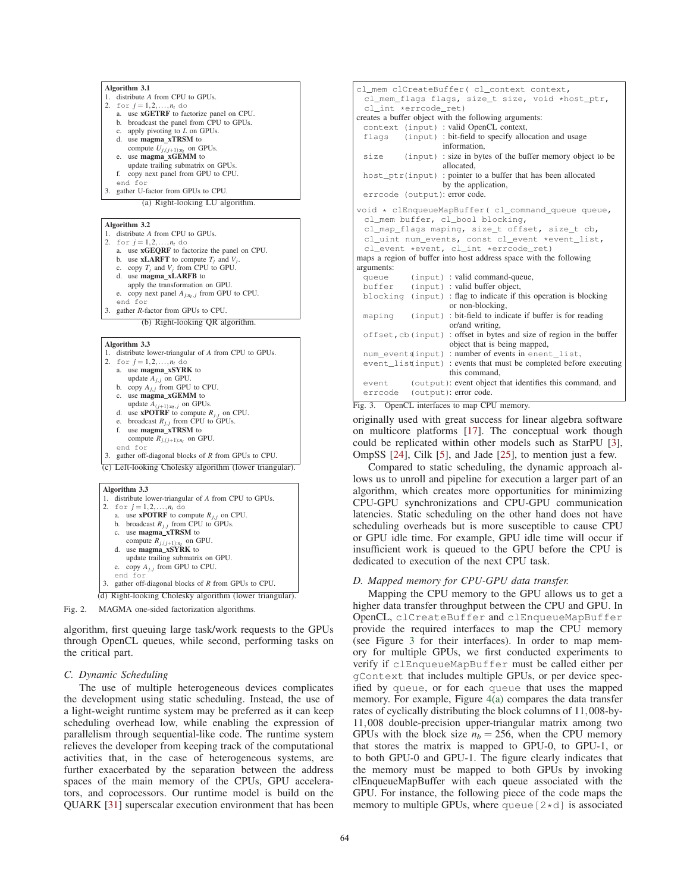



(c) Left-looking Cholesky algorithm (lower triangular).

#### Algorithm 3.3 1. distribute lower-triangular of *A* from CPU to GPUs. 2. for  $j = 1, 2, ..., n_t$  do<br>a. use **xPOTRF** to compute  $R_{j,j}$  on CPU. b. broadcast  $R_{j,j}$  from CPU to GPUs. c. use magma\_xTRSM to compute  $R_{i,(j+1):n}$  on GPU d. use **magma\_xSYRK** to update trailing submatrix on GPU. e. copy  $A_{j,j}$  from GPU to CPU. end for 3. gather off-diagonal blocks of *R* from GPUs to CPU. (d) Right-looking Cholesky algorithm (lower triangular).

Fig. 2. MAGMA one-sided factorization algorithms.

algorithm, first queuing large task/work requests to the GPUs through OpenCL queues, while second, performing tasks on the critical part.

## *C. Dynamic Scheduling*

The use of multiple heterogeneous devices complicates the development using static scheduling. Instead, the use of a light-weight runtime system may be preferred as it can keep scheduling overhead low, while enabling the expression of parallelism through sequential-like code. The runtime system relieves the developer from keeping track of the computational activities that, in the case of heterogeneous systems, are further exacerbated by the separation between the address spaces of the main memory of the CPUs, GPU accelerators, and coprocessors. Our runtime model is build on the QUARK [31] superscalar execution environment that has been

```
cl_mem clCreateBuffer( cl_context context,
 cl_mem_flags flags, size_t size, void *host_ptr,
 cl int *errcode ret)
creates a buffer object with the following arguments:
 context (input) : valid OpenCL context,<br>flags (input) : bit-field to specify allo
           (input) : bit-field to specify allocation and usage
                     information,
 size (input) : size in bytes of the buffer memory object to be
                      allocated,
 host_ptr(input) : pointer to a buffer that has been allocated
                      by the application,
 errcode (output): error code.
void * clEnqueueMapBuffer( cl_command_queue queue,
 cl_mem buffer, cl_bool blocking,
 cl_map_flags maping, size_t offset, size_t cb,
 cl_uint num_events, const cl_event *event_list,
 cl_event *event, cl_int *errcode_ret)
maps a region of buffer into host address space with the following
arguments:
              (input) : valid command-queue,
 buffer (input) : valid buffer object,<br>blocking (input) : flag to indicate if the
             (input) : flag to indicate if this operation is blocking
                       or non-blocking,
 maping (input) : bit-field to indicate if buffer is for reading
                       or/and writing,
 offset, cb(input) : offset in bytes and size of region in the buffer
                       object that is being mapped,
 num_events(input) : number of events in enent_list,
 event list(input) : events that must be completed before executing
                       this command,
 event (output): event object that identifies this command, and
 errcode (output): error code.
```
Fig. 3. OpenCL interfaces to map CPU memory.

originally used with great success for linear algebra software on multicore platforms [17]. The conceptual work though could be replicated within other models such as StarPU [3], OmpSS [24], Cilk [5], and Jade [25], to mention just a few.

Compared to static scheduling, the dynamic approach allows us to unroll and pipeline for execution a larger part of an algorithm, which creates more opportunities for minimizing CPU-GPU synchronizations and CPU-GPU communication latencies. Static scheduling on the other hand does not have scheduling overheads but is more susceptible to cause CPU or GPU idle time. For example, GPU idle time will occur if insufficient work is queued to the GPU before the CPU is dedicated to execution of the next CPU task.

## *D. Mapped memory for CPU-GPU data transfer.*

Mapping the CPU memory to the GPU allows us to get a higher data transfer throughput between the CPU and GPU. In OpenCL, clCreateBuffer and clEnqueueMapBuffer provide the required interfaces to map the CPU memory (see Figure 3 for their interfaces). In order to map memory for multiple GPUs, we first conducted experiments to verify if clEnqueueMapBuffer must be called either per gContext that includes multiple GPUs, or per device specified by queue, or for each queue that uses the mapped memory. For example, Figure 4(a) compares the data transfer rates of cyclically distributing the block columns of 11,008-by-11,008 double-precision upper-triangular matrix among two GPUs with the block size  $n_b = 256$ , when the CPU memory that stores the matrix is mapped to GPU-0, to GPU-1, or to both GPU-0 and GPU-1. The figure clearly indicates that the memory must be mapped to both GPUs by invoking clEnqueueMapBuffer with each queue associated with the GPU. For instance, the following piece of the code maps the memory to multiple GPUs, where queue  $[2*d]$  is associated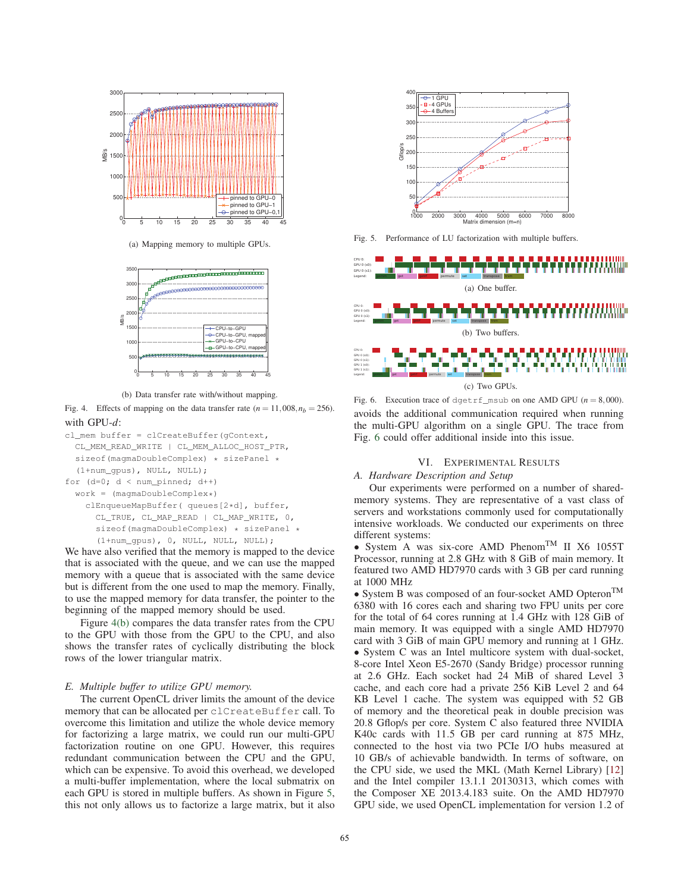

(a) Mapping memory to multiple GPUs.



(b) Data transfer rate with/without mapping.

Fig. 4. Effects of mapping on the data transfer rate  $(n = 11,008, n_b = 256)$ . with GPU-*d*:



We have also verified that the memory is mapped to the device that is associated with the queue, and we can use the mapped memory with a queue that is associated with the same device but is different from the one used to map the memory. Finally, to use the mapped memory for data transfer, the pointer to the beginning of the mapped memory should be used.

Figure 4(b) compares the data transfer rates from the CPU to the GPU with those from the GPU to the CPU, and also shows the transfer rates of cyclically distributing the block rows of the lower triangular matrix.

## *E. Multiple buffer to utilize GPU memory.*

The current OpenCL driver limits the amount of the device memory that can be allocated per clCreateBuffer call. To overcome this limitation and utilize the whole device memory for factorizing a large matrix, we could run our multi-GPU factorization routine on one GPU. However, this requires redundant communication between the CPU and the GPU, which can be expensive. To avoid this overhead, we developed a multi-buffer implementation, where the local submatrix on each GPU is stored in multiple buffers. As shown in Figure 5, this not only allows us to factorize a large matrix, but it also



Fig. 5. Performance of LU factorization with multiple buffers.



Fig. 6. Execution trace of dgetrf\_msub on one AMD GPU  $(n = 8,000)$ . avoids the additional communication required when running the multi-GPU algorithm on a single GPU. The trace from Fig. 6 could offer additional inside into this issue.

## VI. EXPERIMENTAL RESULTS

## *A. Hardware Description and Setup*

Our experiments were performed on a number of sharedmemory systems. They are representative of a vast class of servers and workstations commonly used for computationally intensive workloads. We conducted our experiments on three different systems:

• System A was six-core AMD Phenom<sup>TM</sup> II X6 1055T Processor, running at 2.8 GHz with 8 GiB of main memory. It featured two AMD HD7970 cards with 3 GB per card running at 1000 MHz

• System B was composed of an four-socket AMD Opteron<sup>TM</sup> 6380 with 16 cores each and sharing two FPU units per core for the total of 64 cores running at 1.4 GHz with 128 GiB of main memory. It was equipped with a single AMD HD7970 card with 3 GiB of main GPU memory and running at 1 GHz. • System C was an Intel multicore system with dual-socket, 8-core Intel Xeon E5-2670 (Sandy Bridge) processor running at 2.6 GHz. Each socket had 24 MiB of shared Level 3 cache, and each core had a private 256 KiB Level 2 and 64 KB Level 1 cache. The system was equipped with 52 GB of memory and the theoretical peak in double precision was 20.8 Gflop/s per core. System C also featured three NVIDIA K40c cards with 11.5 GB per card running at 875 MHz, connected to the host via two PCIe I/O hubs measured at 10 GB/s of achievable bandwidth. In terms of software, on the CPU side, we used the MKL (Math Kernel Library) [12] and the Intel compiler 13.1.1 20130313, which comes with the Composer XE 2013.4.183 suite. On the AMD HD7970 GPU side, we used OpenCL implementation for version 1.2 of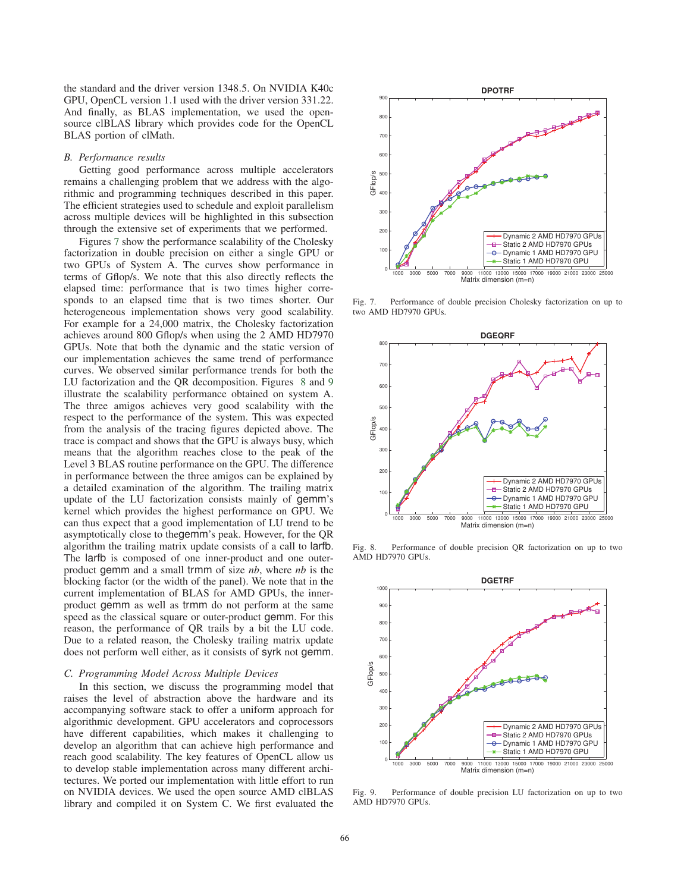the standard and the driver version 1348.5. On NVIDIA K40c GPU, OpenCL version 1.1 used with the driver version 331.22. And finally, as BLAS implementation, we used the opensource clBLAS library which provides code for the OpenCL BLAS portion of clMath.

#### *B. Performance results*

Getting good performance across multiple accelerators remains a challenging problem that we address with the algorithmic and programming techniques described in this paper. The efficient strategies used to schedule and exploit parallelism across multiple devices will be highlighted in this subsection through the extensive set of experiments that we performed.

Figures 7 show the performance scalability of the Cholesky factorization in double precision on either a single GPU or two GPUs of System A. The curves show performance in terms of Gflop/s. We note that this also directly reflects the elapsed time: performance that is two times higher corresponds to an elapsed time that is two times shorter. Our heterogeneous implementation shows very good scalability. For example for a 24,000 matrix, the Cholesky factorization achieves around 800 Gflop/s when using the 2 AMD HD7970 GPUs. Note that both the dynamic and the static version of our implementation achieves the same trend of performance curves. We observed similar performance trends for both the LU factorization and the QR decomposition. Figures 8 and 9 illustrate the scalability performance obtained on system A. The three amigos achieves very good scalability with the respect to the performance of the system. This was expected from the analysis of the tracing figures depicted above. The trace is compact and shows that the GPU is always busy, which means that the algorithm reaches close to the peak of the Level 3 BLAS routine performance on the GPU. The difference in performance between the three amigos can be explained by a detailed examination of the algorithm. The trailing matrix update of the LU factorization consists mainly of gemm's kernel which provides the highest performance on GPU. We can thus expect that a good implementation of LU trend to be asymptotically close to thegemm's peak. However, for the QR algorithm the trailing matrix update consists of a call to larfb. The larfb is composed of one inner-product and one outerproduct gemm and a small trmm of size *nb*, where *nb* is the blocking factor (or the width of the panel). We note that in the current implementation of BLAS for AMD GPUs, the innerproduct gemm as well as trmm do not perform at the same speed as the classical square or outer-product gemm. For this reason, the performance of QR trails by a bit the LU code. Due to a related reason, the Cholesky trailing matrix update does not perform well either, as it consists of syrk not gemm.

#### *C. Programming Model Across Multiple Devices*

In this section, we discuss the programming model that raises the level of abstraction above the hardware and its accompanying software stack to offer a uniform approach for algorithmic development. GPU accelerators and coprocessors have different capabilities, which makes it challenging to develop an algorithm that can achieve high performance and reach good scalability. The key features of OpenCL allow us to develop stable implementation across many different architectures. We ported our implementation with little effort to run on NVIDIA devices. We used the open source AMD clBLAS library and compiled it on System C. We first evaluated the



Fig. 7. Performance of double precision Cholesky factorization on up to two AMD HD7970 GPUs.



Fig. 8. Performance of double precision QR factorization on up to two AMD HD7970 GPUs.



Fig. 9. Performance of double precision LU factorization on up to two AMD HD7970 GPUs.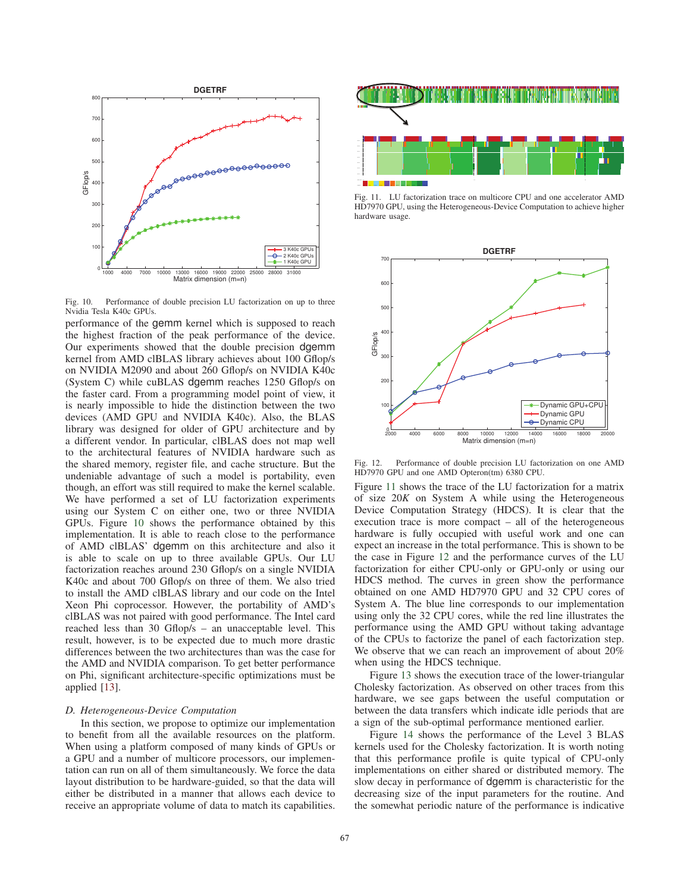

Fig. 10. Performance of double precision LU factorization on up to three Nvidia Tesla K40c GPUs.

performance of the gemm kernel which is supposed to reach the highest fraction of the peak performance of the device. Our experiments showed that the double precision dgemm kernel from AMD clBLAS library achieves about 100 Gflop/s on NVIDIA M2090 and about 260 Gflop/s on NVIDIA K40c (System C) while cuBLAS dgemm reaches 1250 Gflop/s on the faster card. From a programming model point of view, it is nearly impossible to hide the distinction between the two devices (AMD GPU and NVIDIA K40c). Also, the BLAS library was designed for older of GPU architecture and by a different vendor. In particular, clBLAS does not map well to the architectural features of NVIDIA hardware such as the shared memory, register file, and cache structure. But the undeniable advantage of such a model is portability, even though, an effort was still required to make the kernel scalable. We have performed a set of LU factorization experiments using our System C on either one, two or three NVIDIA GPUs. Figure 10 shows the performance obtained by this implementation. It is able to reach close to the performance of AMD clBLAS' dgemm on this architecture and also it is able to scale on up to three available GPUs. Our LU factorization reaches around 230 Gflop/s on a single NVIDIA K40c and about 700 Gflop/s on three of them. We also tried to install the AMD clBLAS library and our code on the Intel Xeon Phi coprocessor. However, the portability of AMD's clBLAS was not paired with good performance. The Intel card reached less than 30 Gflop/s – an unacceptable level. This result, however, is to be expected due to much more drastic differences between the two architectures than was the case for the AMD and NVIDIA comparison. To get better performance on Phi, significant architecture-specific optimizations must be applied [13].

#### *D. Heterogeneous-Device Computation*

In this section, we propose to optimize our implementation to benefit from all the available resources on the platform. When using a platform composed of many kinds of GPUs or a GPU and a number of multicore processors, our implementation can run on all of them simultaneously. We force the data layout distribution to be hardware-guided, so that the data will either be distributed in a manner that allows each device to receive an appropriate volume of data to match its capabilities.



Fig. 11. LU factorization trace on multicore CPU and one accelerator AMD HD7970 GPU, using the Heterogeneous-Device Computation to achieve higher hardware usage.



Fig. 12. Performance of double precision LU factorization on one AMD HD7970 GPU and one AMD Opteron(tm) 6380 CPU.

Figure 11 shows the trace of the LU factorization for a matrix of size 20*K* on System A while using the Heterogeneous Device Computation Strategy (HDCS). It is clear that the execution trace is more compact – all of the heterogeneous hardware is fully occupied with useful work and one can expect an increase in the total performance. This is shown to be the case in Figure 12 and the performance curves of the LU factorization for either CPU-only or GPU-only or using our HDCS method. The curves in green show the performance obtained on one AMD HD7970 GPU and 32 CPU cores of System A. The blue line corresponds to our implementation using only the 32 CPU cores, while the red line illustrates the performance using the AMD GPU without taking advantage of the CPUs to factorize the panel of each factorization step. We observe that we can reach an improvement of about 20% when using the HDCS technique.

Figure 13 shows the execution trace of the lower-triangular Cholesky factorization. As observed on other traces from this hardware, we see gaps between the useful computation or between the data transfers which indicate idle periods that are a sign of the sub-optimal performance mentioned earlier.

Figure 14 shows the performance of the Level 3 BLAS kernels used for the Cholesky factorization. It is worth noting that this performance profile is quite typical of CPU-only implementations on either shared or distributed memory. The slow decay in performance of dgemm is characteristic for the decreasing size of the input parameters for the routine. And the somewhat periodic nature of the performance is indicative